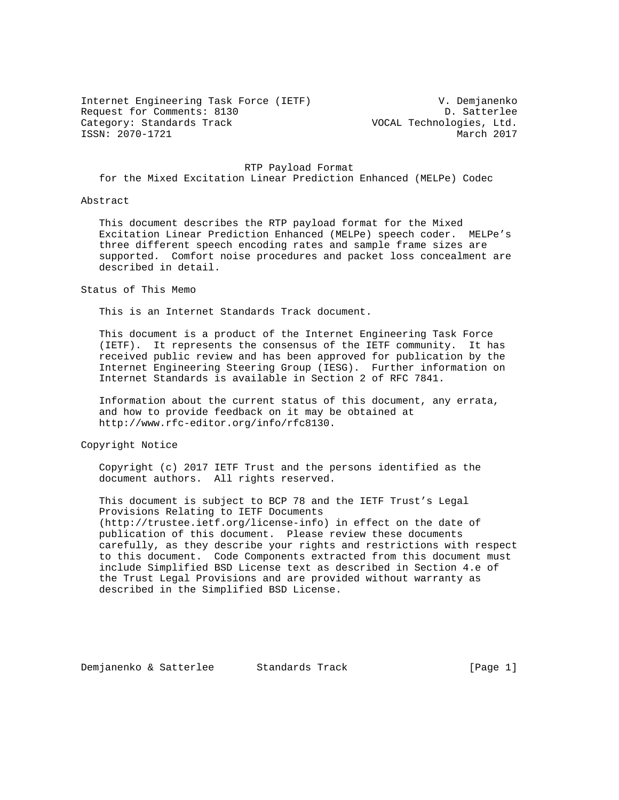Internet Engineering Task Force (IETF) V. Demjanenko Request for Comments: 8130 D. Satterlee<br>Category: Standards Track Category: Standards Track ISSN: 2070-1721

VOCAL Technologies, Ltd.<br>March 2017

 RTP Payload Format for the Mixed Excitation Linear Prediction Enhanced (MELPe) Codec

#### Abstract

 This document describes the RTP payload format for the Mixed Excitation Linear Prediction Enhanced (MELPe) speech coder. MELPe's three different speech encoding rates and sample frame sizes are supported. Comfort noise procedures and packet loss concealment are described in detail.

Status of This Memo

This is an Internet Standards Track document.

 This document is a product of the Internet Engineering Task Force (IETF). It represents the consensus of the IETF community. It has received public review and has been approved for publication by the Internet Engineering Steering Group (IESG). Further information on Internet Standards is available in Section 2 of RFC 7841.

 Information about the current status of this document, any errata, and how to provide feedback on it may be obtained at http://www.rfc-editor.org/info/rfc8130.

Copyright Notice

 Copyright (c) 2017 IETF Trust and the persons identified as the document authors. All rights reserved.

 This document is subject to BCP 78 and the IETF Trust's Legal Provisions Relating to IETF Documents (http://trustee.ietf.org/license-info) in effect on the date of publication of this document. Please review these documents carefully, as they describe your rights and restrictions with respect to this document. Code Components extracted from this document must include Simplified BSD License text as described in Section 4.e of the Trust Legal Provisions and are provided without warranty as described in the Simplified BSD License.

Demjanenko & Satterlee Standards Track [Page 1]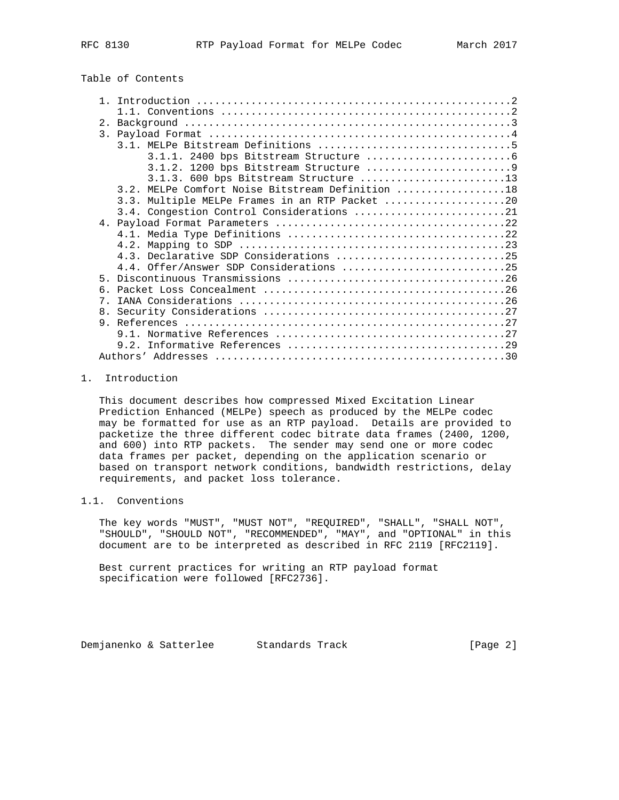## Table of Contents

| 2.1        |                                                  |
|------------|--------------------------------------------------|
|            |                                                  |
|            |                                                  |
|            |                                                  |
|            |                                                  |
|            | $3.1.3.$ 600 bps Bitstream Structure 13          |
|            | 3.2. MELPe Comfort Noise Bitstream Definition 18 |
|            | 3.3. Multiple MELPe Frames in an RTP Packet 20   |
|            | 3.4. Congestion Control Considerations 21        |
|            |                                                  |
|            |                                                  |
|            |                                                  |
|            | 4.3. Declarative SDP Considerations 25           |
|            | 4.4. Offer/Answer SDP Considerations 25          |
| 5          |                                                  |
| б.         |                                                  |
| $7\degree$ |                                                  |
|            |                                                  |
|            |                                                  |
|            |                                                  |
|            |                                                  |
|            |                                                  |
|            |                                                  |

## 1. Introduction

 This document describes how compressed Mixed Excitation Linear Prediction Enhanced (MELPe) speech as produced by the MELPe codec may be formatted for use as an RTP payload. Details are provided to packetize the three different codec bitrate data frames (2400, 1200, and 600) into RTP packets. The sender may send one or more codec data frames per packet, depending on the application scenario or based on transport network conditions, bandwidth restrictions, delay requirements, and packet loss tolerance.

## 1.1. Conventions

 The key words "MUST", "MUST NOT", "REQUIRED", "SHALL", "SHALL NOT", "SHOULD", "SHOULD NOT", "RECOMMENDED", "MAY", and "OPTIONAL" in this document are to be interpreted as described in RFC 2119 [RFC2119].

 Best current practices for writing an RTP payload format specification were followed [RFC2736].

Demjanenko & Satterlee Standards Track [Page 2]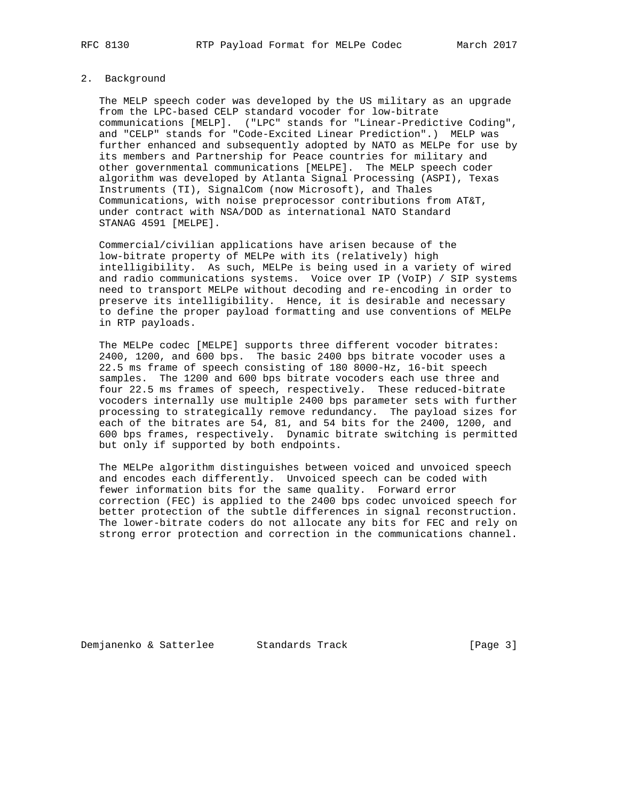## 2. Background

 The MELP speech coder was developed by the US military as an upgrade from the LPC-based CELP standard vocoder for low-bitrate communications [MELP]. ("LPC" stands for "Linear-Predictive Coding", and "CELP" stands for "Code-Excited Linear Prediction".) MELP was further enhanced and subsequently adopted by NATO as MELPe for use by its members and Partnership for Peace countries for military and other governmental communications [MELPE]. The MELP speech coder algorithm was developed by Atlanta Signal Processing (ASPI), Texas Instruments (TI), SignalCom (now Microsoft), and Thales Communications, with noise preprocessor contributions from AT&T, under contract with NSA/DOD as international NATO Standard STANAG 4591 [MELPE].

 Commercial/civilian applications have arisen because of the low-bitrate property of MELPe with its (relatively) high intelligibility. As such, MELPe is being used in a variety of wired and radio communications systems. Voice over IP (VoIP) / SIP systems need to transport MELPe without decoding and re-encoding in order to preserve its intelligibility. Hence, it is desirable and necessary to define the proper payload formatting and use conventions of MELPe in RTP payloads.

 The MELPe codec [MELPE] supports three different vocoder bitrates: 2400, 1200, and 600 bps. The basic 2400 bps bitrate vocoder uses a 22.5 ms frame of speech consisting of 180 8000-Hz, 16-bit speech samples. The 1200 and 600 bps bitrate vocoders each use three and four 22.5 ms frames of speech, respectively. These reduced-bitrate vocoders internally use multiple 2400 bps parameter sets with further processing to strategically remove redundancy. The payload sizes for each of the bitrates are 54, 81, and 54 bits for the 2400, 1200, and 600 bps frames, respectively. Dynamic bitrate switching is permitted but only if supported by both endpoints.

 The MELPe algorithm distinguishes between voiced and unvoiced speech and encodes each differently. Unvoiced speech can be coded with fewer information bits for the same quality. Forward error correction (FEC) is applied to the 2400 bps codec unvoiced speech for better protection of the subtle differences in signal reconstruction. The lower-bitrate coders do not allocate any bits for FEC and rely on strong error protection and correction in the communications channel.

Demjanenko & Satterlee Standards Track [Page 3]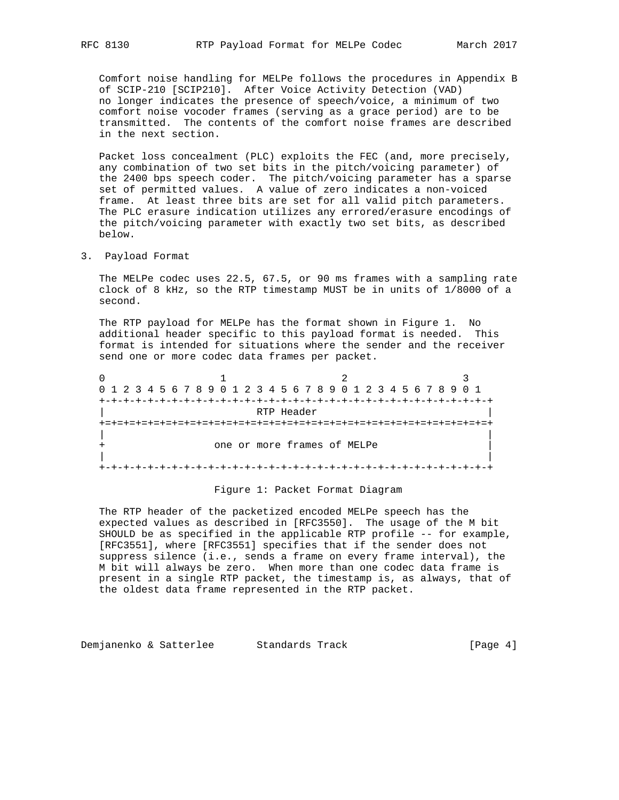Comfort noise handling for MELPe follows the procedures in Appendix B of SCIP-210 [SCIP210]. After Voice Activity Detection (VAD) no longer indicates the presence of speech/voice, a minimum of two comfort noise vocoder frames (serving as a grace period) are to be transmitted. The contents of the comfort noise frames are described in the next section.

 Packet loss concealment (PLC) exploits the FEC (and, more precisely, any combination of two set bits in the pitch/voicing parameter) of the 2400 bps speech coder. The pitch/voicing parameter has a sparse set of permitted values. A value of zero indicates a non-voiced frame. At least three bits are set for all valid pitch parameters. The PLC erasure indication utilizes any errored/erasure encodings of the pitch/voicing parameter with exactly two set bits, as described below.

3. Payload Format

 The MELPe codec uses 22.5, 67.5, or 90 ms frames with a sampling rate clock of 8 kHz, so the RTP timestamp MUST be in units of 1/8000 of a second.

 The RTP payload for MELPe has the format shown in Figure 1. No additional header specific to this payload format is needed. This format is intended for situations where the sender and the receiver send one or more codec data frames per packet.

0  $1$  2 3 0 1 2 3 4 5 6 7 8 9 0 1 2 3 4 5 6 7 8 9 0 1 2 3 4 5 6 7 8 9 0 1 +-+-+-+-+-+-+-+-+-+-+-+-+-+-+-+-+-+-+-+-+-+-+-+-+-+-+-+-+-+-+-+-+ | RTP Header | +=+=+=+=+=+=+=+=+=+=+=+=+=+=+=+=+=+=+=+=+=+=+=+=+=+=+=+=+=+=+=+=+ | | one or more frames of MELPe | | +-+-+-+-+-+-+-+-+-+-+-+-+-+-+-+-+-+-+-+-+-+-+-+-+-+-+-+-+-+-+-+-+

#### Figure 1: Packet Format Diagram

 The RTP header of the packetized encoded MELPe speech has the expected values as described in [RFC3550]. The usage of the M bit SHOULD be as specified in the applicable RTP profile -- for example, [RFC3551], where [RFC3551] specifies that if the sender does not suppress silence (i.e., sends a frame on every frame interval), the M bit will always be zero. When more than one codec data frame is present in a single RTP packet, the timestamp is, as always, that of the oldest data frame represented in the RTP packet.

Demjanenko & Satterlee Standards Track [Page 4]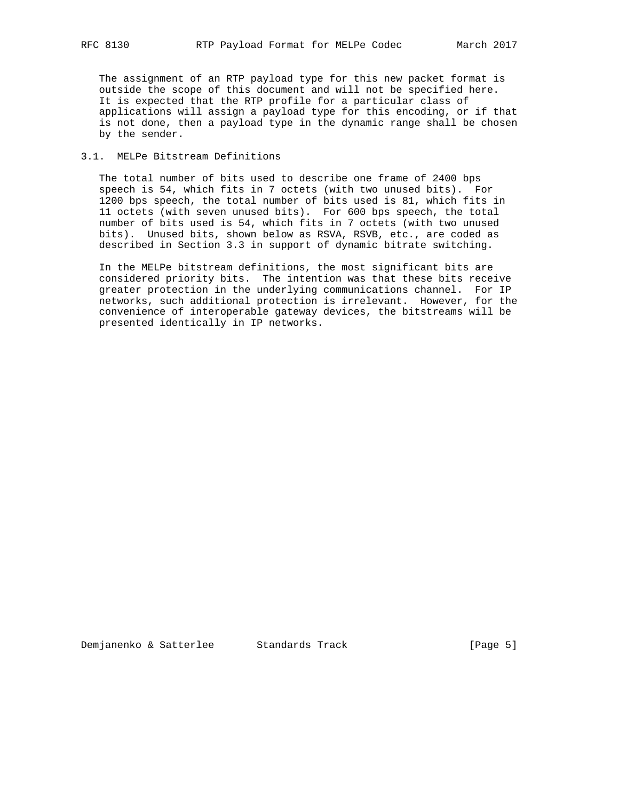The assignment of an RTP payload type for this new packet format is outside the scope of this document and will not be specified here. It is expected that the RTP profile for a particular class of applications will assign a payload type for this encoding, or if that is not done, then a payload type in the dynamic range shall be chosen by the sender.

## 3.1. MELPe Bitstream Definitions

 The total number of bits used to describe one frame of 2400 bps speech is 54, which fits in 7 octets (with two unused bits). For 1200 bps speech, the total number of bits used is 81, which fits in 11 octets (with seven unused bits). For 600 bps speech, the total number of bits used is 54, which fits in 7 octets (with two unused bits). Unused bits, shown below as RSVA, RSVB, etc., are coded as described in Section 3.3 in support of dynamic bitrate switching.

 In the MELPe bitstream definitions, the most significant bits are considered priority bits. The intention was that these bits receive greater protection in the underlying communications channel. For IP networks, such additional protection is irrelevant. However, for the convenience of interoperable gateway devices, the bitstreams will be presented identically in IP networks.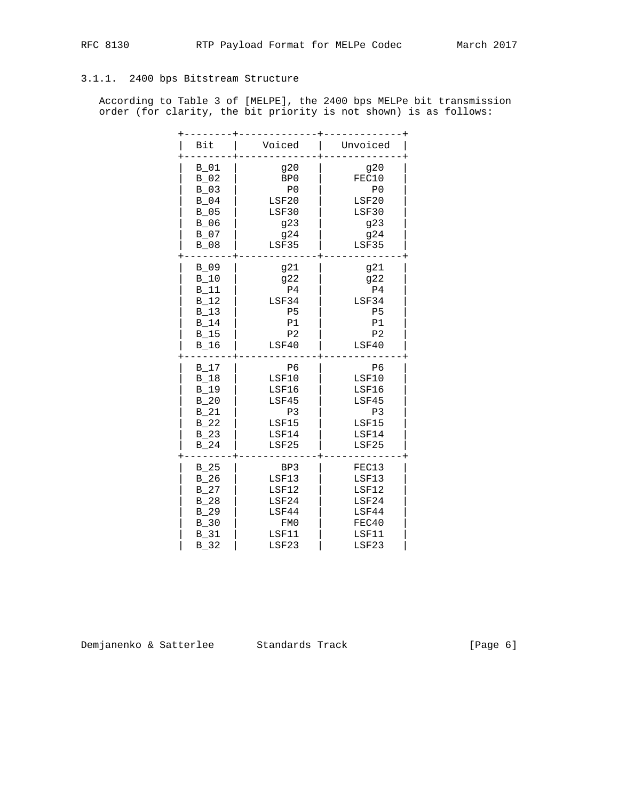## 3.1.1. 2400 bps Bitstream Structure

 According to Table 3 of [MELPE], the 2400 bps MELPe bit transmission order (for clarity, the bit priority is not shown) is as follows:

| Bit      | Voiced          | Unvoiced       |
|----------|-----------------|----------------|
| $B_01$   | 920             | g20            |
| $B_02$   | BP <sub>0</sub> | FEC10          |
| $B_03$   | P <sub>0</sub>  | P <sub>0</sub> |
| $B_04$   | LSF20           | LSF20          |
| $B_05$   | LSF30           | LSF30          |
| $B_06$   | g23             | g23            |
| B 07     | 924             | 924            |
| $B_08$   | LSF35           | LSF35          |
| $B_0$ 09 | g21             | g21            |
| $B_10$   | g22             | g22            |
| $B_11$   | P <sub>4</sub>  | P <sub>4</sub> |
| $B_12$   | LSF34           | LSF34          |
| $B_13$   | P <sub>5</sub>  | P <sub>5</sub> |
| B 14     | P1              | P1             |
| $B_15$   | P <sub>2</sub>  | P <sub>2</sub> |
| $B_16$   | LSF40           | LSF40          |
| $B_17$   | P <sub>6</sub>  | P <sub>6</sub> |
| $B_18$   | LSF10           | LSF10          |
| $B_19$   | LSF16           | LSF16          |
| $B_20$   | LSF45           | LSF45          |
| B 21     | P <sub>3</sub>  | P <sub>3</sub> |
| $B_22$   | LSF15           | LSF15          |
| $B_23$   | LSF14           | LSF14          |
| $B_24$   | LSF25           | LSF25          |
| B 25     | BP3             | FEC13          |
| $B_26$   | LSF13           | LSF13          |
| B 27     | LSF12           | LSF12          |
| $B_28$   | LSF24           | LSF24          |
| $B_2$ 29 | LSF44           | LSF44          |
| $B_30$   | FM0             | FEC40          |
| B 31     | LSF11           | LSF11          |
| $B_32$   | LSF23           | LSF23          |

Demjanenko & Satterlee Standards Track (Page 6)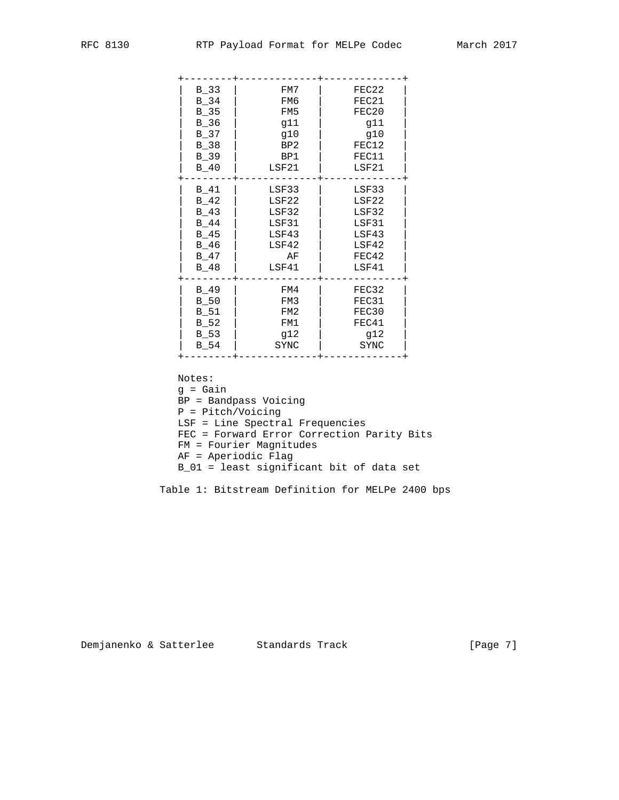| $B_33$ | FM7   | FEC22 |
|--------|-------|-------|
| B 34   | FM6   | FEC21 |
| $B_35$ | FM5   | FEC20 |
| $B_36$ | g11   | g11   |
| $B_37$ | g10   | g10   |
| B 38   | BP2   | FEC12 |
| $B_39$ | BP1   | FEC11 |
| $B_40$ | LSF21 | LSF21 |
| $B_41$ | LSF33 | LSF33 |
| $B_42$ | LSF22 | LSF22 |
| $B_43$ | LSF32 | LSF32 |
| B 44   | LSF31 | LSF31 |
| $B_45$ | LSF43 | LSF43 |
| $B_46$ | LSF42 | LSF42 |
| B 47   | ΑF    | FEC42 |
| $B_48$ | LSF41 | LSF41 |
| B 49   | FM4   | FEC32 |
| $B_50$ | FM3   | FEC31 |
| B 51   | FM2   | FEC30 |
| $B_52$ | FM1   | FEC41 |
| $B_53$ | q12   | q12   |
| B 54   | SYNC  | SYNC  |
|        |       |       |

Notes:

 g = Gain BP = Bandpass Voicing P = Pitch/Voicing LSF = Line Spectral Frequencies FEC = Forward Error Correction Parity Bits FM = Fourier Magnitudes AF = Aperiodic Flag B\_01 = least significant bit of data set

Table 1: Bitstream Definition for MELPe 2400 bps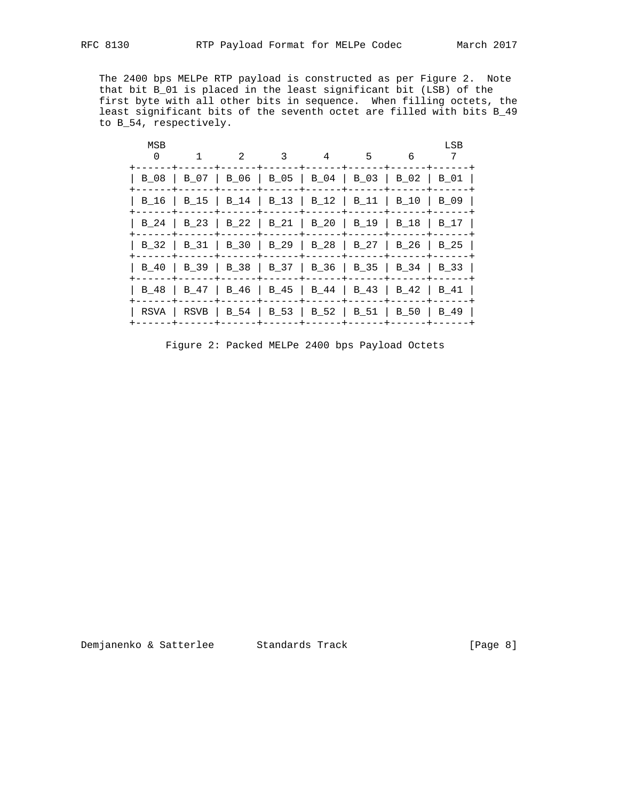The 2400 bps MELPe RTP payload is constructed as per Figure 2. Note that bit B\_01 is placed in the least significant bit (LSB) of the first byte with all other bits in sequence. When filling octets, the least significant bits of the seventh octet are filled with bits B\_49 to B\_54, respectively.

| MSB<br>$\Omega$ | $\mathfrak{D}$                 | 3 | 4 | 5                                | 6            | LSB<br>7                                                                                                                                                                                                                                                                                |
|-----------------|--------------------------------|---|---|----------------------------------|--------------|-----------------------------------------------------------------------------------------------------------------------------------------------------------------------------------------------------------------------------------------------------------------------------------------|
| B 08            |                                |   |   |                                  |              | B 01                                                                                                                                                                                                                                                                                    |
|                 |                                |   |   |                                  |              | $\vert$ B_09                                                                                                                                                                                                                                                                            |
|                 |                                |   |   |                                  | B 18         | B 17                                                                                                                                                                                                                                                                                    |
|                 |                                |   |   |                                  |              |                                                                                                                                                                                                                                                                                         |
| B 40            |                                |   |   |                                  |              |                                                                                                                                                                                                                                                                                         |
| B 48            |                                |   |   |                                  |              |                                                                                                                                                                                                                                                                                         |
|                 |                                |   |   |                                  |              | B 49                                                                                                                                                                                                                                                                                    |
|                 | $\vert$ B 07<br>  B 47<br>RSVA |   |   | B 24   B 23   B 22   B 21   B 20 | $\vert$ B_19 | B 06   B 05   B 04   B 03   B 02<br>B 16   B 15   B 14   B 13   B 12   B 11   B 10<br>B_32   B_31   B_30   B_29   B_28   B_27   B_26   B_25<br>  B_39   B_38   B_37   B_36   B_35   B_34   B_33<br>  B 46   B 45   B 44   B 43   B 42   B 41<br>RSVB   B 54   B 53   B 52   B 51   B 50 |

Figure 2: Packed MELPe 2400 bps Payload Octets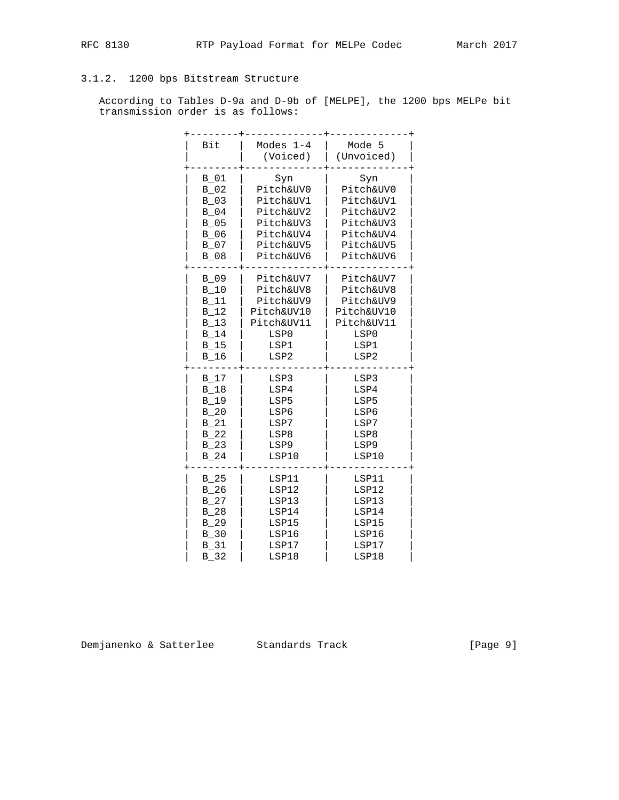## 3.1.2. 1200 bps Bitstream Structure

 According to Tables D-9a and D-9b of [MELPE], the 1200 bps MELPe bit transmission order is as follows:

| Bit         | Modes $1-4$<br>(Voiced) | Mode 5<br>(Unvoiced) |
|-------------|-------------------------|----------------------|
| B 01        | Syn                     | Syn                  |
| $B_02$      | Pitch&UV0               | Pitch&UV0            |
| $B_03$      | Pitch&UV1               | Pitch&UV1            |
| $B_04$      | Pitch&UV2               | Pitch&UV2            |
| $B_05$      | Pitch&UV3               | Pitch&UV3            |
| $B_06$      | Pitch&UV4               | Pitch&UV4            |
| $B_07$      | Pitch&UV5               | Pitch&UV5            |
| $B_08$      | Pitch&UV6               | Pitch&UV6            |
| $B_09$      | Pitch&UV7               | Pitch&UV7            |
| $B_10$      | Pitch&UV8               | Pitch&UV8            |
| <b>B</b> 11 | Pitch&UV9               | Pitch&UV9            |
| B 12        | Pitch&UV10              | Pitch&UV10           |
| B 13        | Pitch&UV11              | Pitch&UV11           |
| $B_14$      | LSP0                    | LSP0                 |
| $B_15$      | LSP1                    | LSP1                 |
| $B_16$      | LSP2                    | LSP2                 |
| B 17        | LSP3                    | LSP3                 |
| $B_18$      | LSP4                    | LSP4                 |
| $B_19$      | LSP5                    | LSP5                 |
| B 20        | LSP6                    | LSP6                 |
| $B_21$      | LSP7                    | LSP7                 |
| B 22        | LSP8                    | LSP8                 |
| B 23        | LSP9                    | LSP9                 |
| B 24        | LSP10                   | LSP10                |
| $B_25$      | LSP11                   | LSP11                |
| $B_26$      | LSP12                   | LSP12                |
| $B_27$      | LSP13                   | LSP13                |
| B 28        | LSP14                   | LSP14                |
| $B_2$       | LSP15                   | LSP15                |
| $B_30$      | LSP16                   | LSP16                |
| B 31        | LSP17                   | LSP17                |
| $B_32$      | LSP18                   | LSP18                |

Demjanenko & Satterlee Standards Track (Page 9)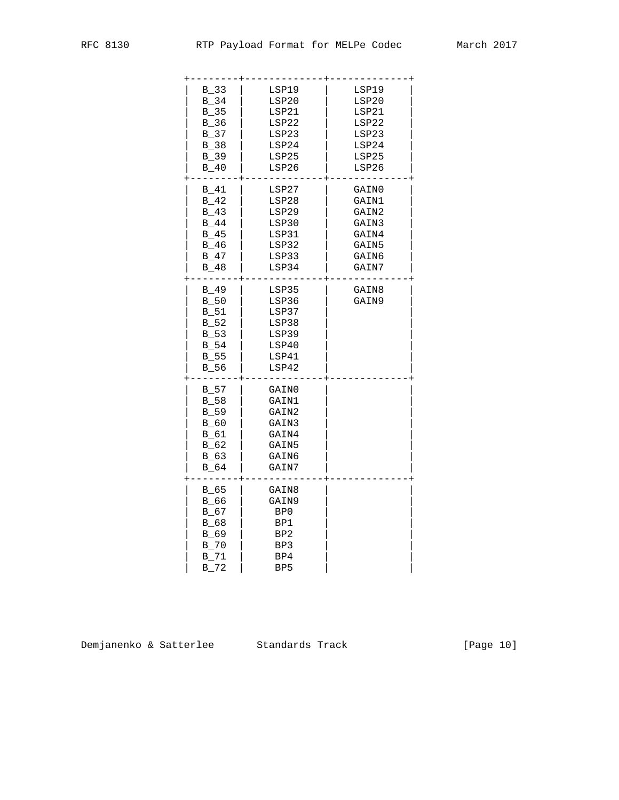| $B_33$<br>B 34<br>$B_35$<br>$B_36$<br>B 37<br>$B_38$                            | LSP19<br>LSP20<br>LSP21<br>LSP22<br>LSP23<br>LSP24                   | LSP19<br>LSP20<br>LSP21<br>LSP22<br>LSP23<br>LSP24                   |
|---------------------------------------------------------------------------------|----------------------------------------------------------------------|----------------------------------------------------------------------|
| $B_39$<br>$B_40$                                                                | LSP25<br>LSP26                                                       | LSP25<br>LSP26                                                       |
| $B_41$<br>B 42<br>B 43<br>B 44<br>B 45<br>B 46<br>B 47<br>$B_48$                | LSP27<br>LSP28<br>LSP29<br>LSP30<br>LSP31<br>LSP32<br>LSP33<br>LSP34 | GAIN0<br>GAIN1<br>GAIN2<br>GAIN3<br>GAIN4<br>GAIN5<br>GAIN6<br>GAIN7 |
| $B_49$<br>$B_50$<br><b>B</b> 51<br>$B_52$<br>$B_53$<br>B 54<br>$B_55$<br>$B_56$ | LSP35<br>LSP36<br>LSP37<br>LSP38<br>LSP39<br>LSP40<br>LSP41<br>LSP42 | GAIN8<br>GAIN9                                                       |
| $B_57$<br>$B_58$<br>$B_59$<br>$B_60$<br>$B_61$<br>$B_62$<br>$B_63$<br>$B_64$    | GAIN0<br>GAIN1<br>GAIN2<br>GAIN3<br>GAIN4<br>GAIN5<br>GAIN6<br>GAIN7 |                                                                      |
| $B_65$<br>$B_66$<br>$B_67$<br>$B_68$<br>B 69<br>B 70<br>B 71<br>$B_72$          | GAIN8<br>GAIN9<br>BP0<br>BP1<br>BP2<br>BP3<br>BP4<br>BP <sub>5</sub> |                                                                      |

Demjanenko & Satterlee Standards Track [Page 10]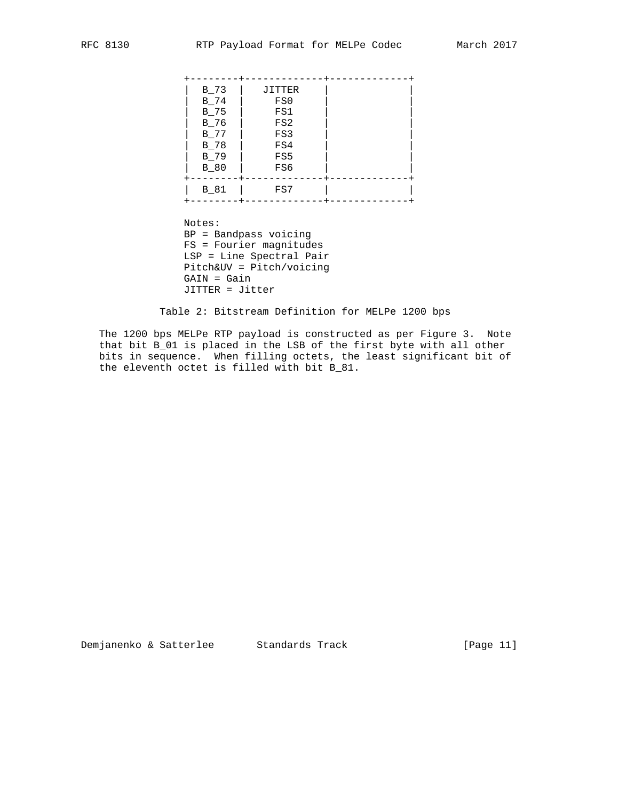| $B_73$<br>$B_74$<br>B 75<br>$B_76$<br>$B_77$<br>B 78 | JITTER<br>FS0<br>FS1<br>FS2<br>FS3<br>FS4 |  |
|------------------------------------------------------|-------------------------------------------|--|
| $B_79$<br>$B_80$                                     | FS5<br>FS6                                |  |
| $B_81$                                               | FS7                                       |  |

 Notes: BP = Bandpass voicing FS = Fourier magnitudes LSP = Line Spectral Pair Pitch&UV = Pitch/voicing GAIN = Gain JITTER = Jitter

Table 2: Bitstream Definition for MELPe 1200 bps

 The 1200 bps MELPe RTP payload is constructed as per Figure 3. Note that bit B\_01 is placed in the LSB of the first byte with all other bits in sequence. When filling octets, the least significant bit of the eleventh octet is filled with bit B\_81.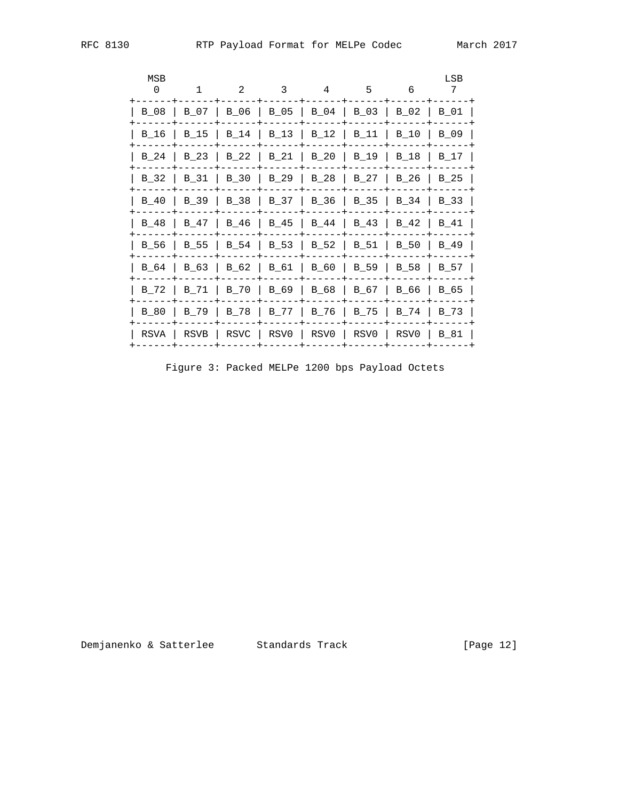| MSB<br>0 | $\mathbf{1}$ | 2      | 3    | 4           | 5      | 6    | LSB<br>7    |
|----------|--------------|--------|------|-------------|--------|------|-------------|
| B 08     | B 07         | B_06   | B_05 | B 04   B 03 |        | B 02 | B 01        |
| B 16     | B 15         | $B_14$ | B 13 | B 12        | B 11   | B 10 | B 09        |
| B 24     | B 23         | B 22   | B 21 | B 20        | B 19   | B 18 | B 17        |
| B 32     | B 31         | B 30   | B 29 | B 28        | B 27   | B 26 | $B_25$      |
| B 40     | B 39         | B 38   | B 37 | B 36        | $B_35$ | B 34 | $B_33$      |
| B 48     | B 47         | B 46   | B 45 | B 44        | B 43   | B 42 | B 41        |
| B 56     | B 55         | B 54   | B 53 | B 52        | B 51   | B 50 | B 49        |
| B 64     | B 63         | B 62   | B 61 | B 60        | B 59   | B 58 | B 57        |
| B 72     | B 71         | B 70   | B 69 | B 68        | B 67   | B 66 | B 65        |
| B 80     | B 79         | B 78   | B 77 | B 76        | B 75   | B 74 | B 73        |
| RSVA     | RSVB         | RSVC   | RSV0 | RSV0        | RSV0   | RSV0 | <b>B</b> 81 |

Figure 3: Packed MELPe 1200 bps Payload Octets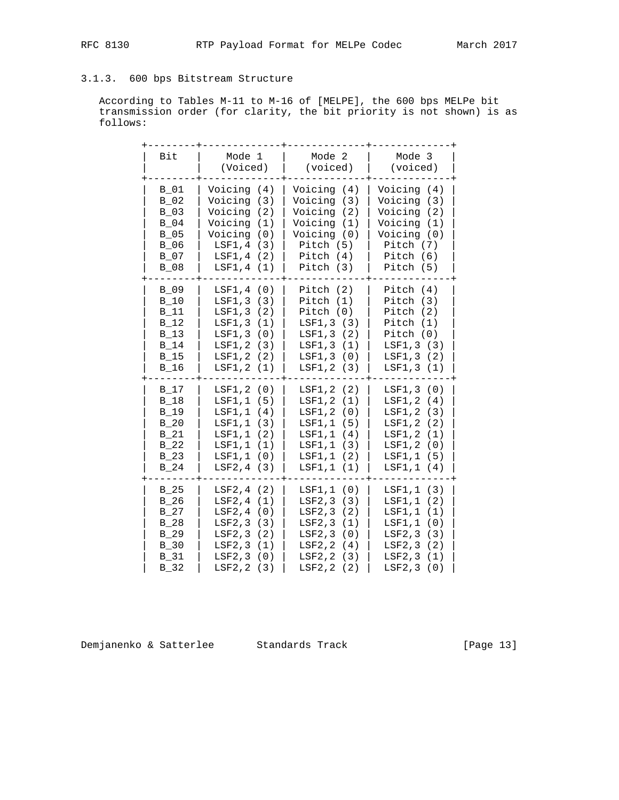## 3.1.3. 600 bps Bitstream Structure

 According to Tables M-11 to M-16 of [MELPE], the 600 bps MELPe bit transmission order (for clarity, the bit priority is not shown) is as follows:

| Bit    | Mode 1<br>(Voiced) | Mode 2<br>(voiced) | Mode 3<br>(voiced) |
|--------|--------------------|--------------------|--------------------|
| B 01   | Voicing (4)        | Voicing (4)        | Voicing (4)        |
| $B_02$ | Voicing (3)        | Voicing (3)        | Voicing (3)        |
| $B_03$ | Voicing (2)        | Voicing (2)        | Voicing (2)        |
| $B_04$ | Voicing (1)        | Voicing (1)        | Voicing (1)        |
| $B_05$ | Voicing (0)        | Voicing (0)        | Voicing (0)        |
| $B_06$ | LSF1, 4 (3)        | Pitch (5)          | Pitch (7)          |
| $B_07$ | LSF1, 4 (2)        | Pitch (4)          | Pitch (6)          |
| $B_08$ | LSF1, 4 (1)        | Pitch $(3)$        | Pitch (5)          |
| $B_09$ | LSF1, 4 (0)        | Pitch $(2)$        | Pitch $(4)$        |
| $B_10$ | LSF1, 3 (3)        | Pitch $(1)$        | Pitch $(3)$        |
| $B_11$ | LSF1, 3 (2)        | Pitch $(0)$        | Pitch $(2)$        |
| B 12   | LSF1, 3 (1)        | LSF1, 3 (3)        | Pitch $(1)$        |
| $B_13$ | LSF1, 3 (0)        | LSF1, 3 (2)        | Pitch $(0)$        |
| $B_14$ | LSF1, 2 (3)        | LSF1,3 (1)         | LSF1,3 (3)         |
| $B_15$ | LSF1, 2 (2)        | LSF1, 3 (0)        | LSF1, 3 (2)        |
| $B_16$ | LSF1, 2 (1)        | LSF1, 2 (3)        | LSF1, 3 (1)        |
| $B_17$ | LSF1, 2 (0)        | LSF1, 2 (2)        | LSF1, 3 (0)        |
| $B_18$ | LSF1, 1 (5)        | LSF1, 2 (1)        | LSF1, 2 (4)        |
| $B_19$ | LSF1, 1 (4)        | LSF1, 2 (0)        | LSF1, 2 (3)        |
| $B_20$ | LSF1, 1 (3)        | LSF1,1 (5)         | LSF1, 2 (2)        |
| $B_21$ | LSF1, 1 (2)        | LSF1, 1 (4)        | LSF1, 2 (1)        |
| $B_22$ | LSF1, 1 (1)        | LSF1, 1 (3)        | LSF1, 2 (0)        |
| $B_23$ | LSF1, 1 (0)        | LSF1,1 (2)         | LSF1,1 (5)         |
| $B_24$ | $LSF2, 4$ (3)      | LSF1, 1 (1)        | LSF1, 1 (4)        |
| $B_25$ | LSF2, 4 (2)        | LSF1, 1 (0)        | LSF1,1 (3)         |
| $B_26$ | LSF2, 4 (1)        | LSF2, 3 (3)        | LSF1, 1 (2)        |
| B 27   | LSF2, 4 (0)        | LSF2, 3 (2)        | LSF1, 1 (1)        |
| $B_28$ | LSF2, 3 (3)        | LSF2, 3 (1)        | LSF1, 1 (0)        |
| $B_2$  | LSF2, 3 (2)        | LSF2, 3 (0)        | LSF2, 3 (3)        |
| $B_30$ | LSF2, 3 (1)        | LSF2, 2 (4)        | LSF2, 3 (2)        |
| $B_31$ | LSF2, 3 (0)        | LSF2, 2 (3)        | LSF2, 3 (1)        |
| $B_32$ | LSF2, 2 (3)        | LSF2, 2 (2)        | LSF2, 3 (0)        |

Demjanenko & Satterlee Standards Track [Page 13]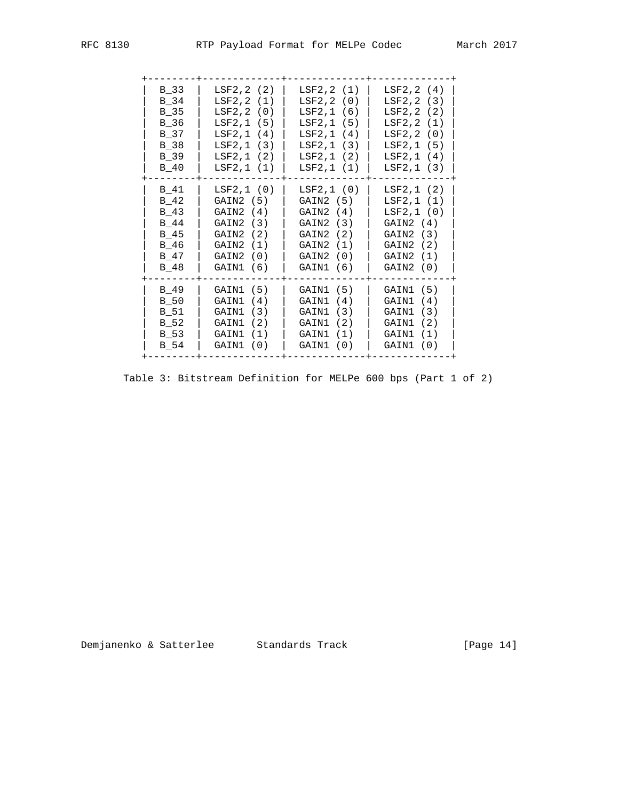| RFC 8130 |
|----------|

| $B_3$<br>B 34<br>B 35<br>B 36<br>B 37<br>B 38<br>B 39<br>B 40  | LSF2, 2(2)<br>LSF2, 2(1)<br>LSF2, 2 (0)<br>LSF2, 1 (5)<br>LSF2, 1 (4)<br>LSF2, 1 (3)<br>LSF2, 1 (2)<br>LSF2, 1 (1) | LSF2, 2 (1)<br>LSF2, 2 (0)<br>LSF2, 1 (6)<br>LSF2, 1 (5)<br>LSF2, 1 (4)<br>LSF2, 1 (3)<br>LSF2, 1 (2)<br>LSF2, 1 (1) | LSF2, 2 (4)<br>LSF2, 2 (3)<br>LSF2, 2 (2)<br>LSF2, 2 (1)<br>LSF2, 2 (0)<br>LSF2, 1 (5)<br>LSF2, 1 (4)<br>LSF2, 1 (3) |
|----------------------------------------------------------------|--------------------------------------------------------------------------------------------------------------------|----------------------------------------------------------------------------------------------------------------------|----------------------------------------------------------------------------------------------------------------------|
| B 41<br>$B_42$<br>B 43<br>B 44<br>B 45<br>B 46<br>B 47<br>B 48 | LSF2, 1 (0)<br>GAIN2(5)<br>GAIN2(4)<br>GAIN2 (3)<br>GAIN2 (2)<br>GAIN2 (1)<br>GAIN2 (0)<br>GAIN1 (6)               | LSF2, 1 (0)<br>GAIN2 (5)<br>GAIN2(4)<br>GAIN2 (3)<br>GAIN2 (2)<br>GAIN2<br>(1)<br>GAIN2 (0)<br>GAIN1 (6)             | LSF2, 1 (2)<br>LSF2, 1 (1)<br>LSF2, 1 (0)<br>GAIN2(4)<br>GAIN2 (3)<br>GAIN2<br>(2)<br>GAIN2 (1)<br>GAIN2 (0)         |
| B 49<br>$B_50$<br>B 51<br>B 52<br>B 53<br>B 54                 | GAIN1 (5)<br>GAIN1 (4)<br>GAIN1 (3)<br>GAIN1 (2)<br>GAIN1 (1)<br>GAIN1 (0)                                         | GAIN1 (5)<br>GAIN1<br>(4)<br>(3)<br>GAIN1<br>GAIN1<br>(2)<br>GAIN1<br>(1)<br>GAIN1<br>(0)                            | GAIN1 (5)<br>GAIN1<br>(4)<br>GAIN1 (3)<br>GAIN1<br>(2)<br>GAIN1<br>(1)<br>GAIN1<br>(0)                               |

Table 3: Bitstream Definition for MELPe 600 bps (Part 1 of 2)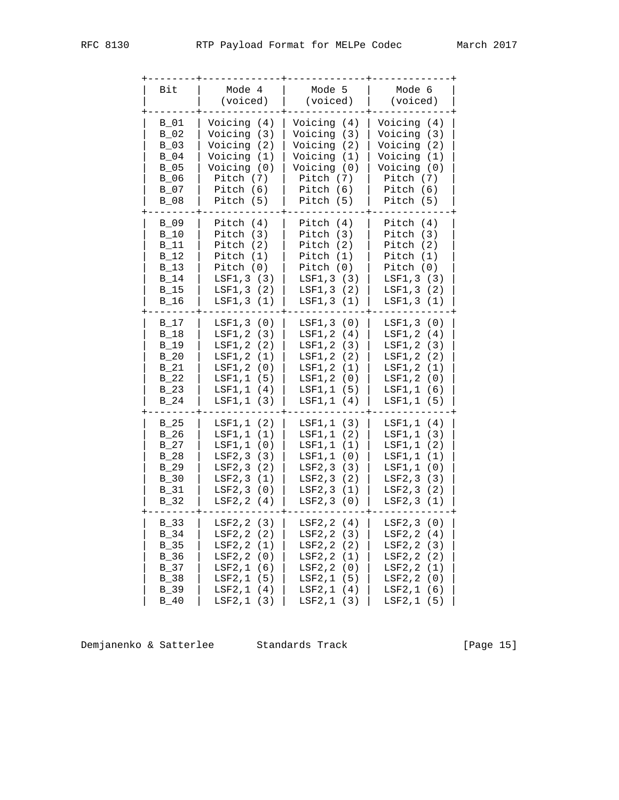| Bit                                                                        | Mode 4<br>(voiced)                                                                                                       | Mode 5<br>(voiced)                                                                                                                      | Mode 6<br>(voiced) |
|----------------------------------------------------------------------------|--------------------------------------------------------------------------------------------------------------------------|-----------------------------------------------------------------------------------------------------------------------------------------|--------------------|
| $B_01$                                                                     | Voicing (4)                                                                                                              | Voicing (4)                                                                                                                             | Voicing (4)        |
| B 02                                                                       | Voicing (3)                                                                                                              | Voicing (3)                                                                                                                             | Voicing (3)        |
| $B_03$                                                                     | Voicing (2)                                                                                                              | Voicing (2)                                                                                                                             | Voicing (2)        |
| B 04                                                                       | Voicing (1)                                                                                                              | Voicing (1)                                                                                                                             | Voicing (1)        |
| $B_05$                                                                     | Voicing (0)                                                                                                              | Voicing (0)                                                                                                                             | Voicing (0)        |
| B 06                                                                       | Pitch (7)                                                                                                                | Pitch (7)                                                                                                                               | Pitch $(7)$        |
| B 07                                                                       | Pitch $(6)$                                                                                                              | Pitch (6)                                                                                                                               | Pitch $(6)$        |
| $B_08$                                                                     | Pitch (5)                                                                                                                | Pitch (5)                                                                                                                               | Pitch (5)          |
| B 09                                                                       | Pitch $(4)$                                                                                                              | Pitch $(4)$                                                                                                                             | Pitch $(4)$        |
| B 10                                                                       | Pitch $(3)$                                                                                                              | Pitch $(3)$                                                                                                                             | Pitch $(3)$        |
| B 11                                                                       | Pitch $(2)$                                                                                                              | Pitch $(2)$                                                                                                                             | Pitch $(2)$        |
| $B_12$                                                                     | Pitch $(1)$                                                                                                              | Pitch $(1)$                                                                                                                             | Pitch $(1)$        |
| $B_13$                                                                     | Pitch $(0)$                                                                                                              | Pitch $(0)$                                                                                                                             | Pitch $(0)$        |
| $B_14$                                                                     | LSF1, 3 (3)                                                                                                              | LSF1, 3 (3)                                                                                                                             | LSF1,3 (3)         |
| B 15                                                                       | LSF1, 3 (2)                                                                                                              | LSF1, 3 (2)                                                                                                                             | LSF1, 3 (2)        |
| B 16                                                                       | LSF1, 3 (1)                                                                                                              | LSF1, 3 (1)                                                                                                                             | LSF1, 3 (1)        |
| B 17                                                                       | LSF1, 3 (0)                                                                                                              | LSF1, 3 (0)                                                                                                                             | LSF1, 3 (0)        |
| $B_18$                                                                     | LSF1,2 (3)                                                                                                               | LSF1, 2 (4)                                                                                                                             | LSF1, 2 (4)        |
| $B_19$                                                                     | LSF1, 2 (2)                                                                                                              | LSF1, 2 (3)                                                                                                                             | LSF1, 2 (3)        |
| $B_20$                                                                     | LSF1,2 (1)                                                                                                               | LSF1, 2 (2)                                                                                                                             | LSF1, 2 (2)        |
| $B_21$                                                                     | LSF1, 2 (0)                                                                                                              | LSF1,2 (1)                                                                                                                              | LSF1, 2 (1)        |
| B 22                                                                       | LSF1,1 (5)                                                                                                               | LSF1, 2 (0)                                                                                                                             | LSF1, 2 (0)        |
| $B_23$                                                                     | LSF1, 1 (4)                                                                                                              | LSF1,1 (5)                                                                                                                              | LSF1, 1 (6)        |
| $B_24$                                                                     | LSF1, 1 (3)                                                                                                              | LSF1, 1 (4)                                                                                                                             | LSF1,1 (5)         |
| B 25                                                                       | LSF1, 1 (2)                                                                                                              | LSF1,1 (3)                                                                                                                              | LSF1, 1 (4)        |
| $B_26$                                                                     | LSF1, 1 (1)                                                                                                              | LSF1, 1 (2)                                                                                                                             | LSF1, 1 (3)        |
| $B_27$                                                                     | LSF1, 1 (0)                                                                                                              | LSF1,1 (1)                                                                                                                              | LSF1,1 (2)         |
| $B_28$                                                                     | LSF2, 3 (3)                                                                                                              | LSF1,1 (0)                                                                                                                              | LSF1, 1 (1)        |
| $B_2$                                                                      | LSF2, 3 (2)                                                                                                              | LSF2, 3 (3)                                                                                                                             | LSF1, 1 (0)        |
| $B_30$                                                                     | LSF2, 3 (1)                                                                                                              | LSF2, 3 (2)                                                                                                                             | LSF2, 3 (3)        |
| $B_31$                                                                     | LSF2, 3 (0)                                                                                                              | LSF2, 3 (1)                                                                                                                             | LSF2, 3 (2)        |
| $B_32$                                                                     | LSF2, 2 (4)                                                                                                              | LSF2, 3 (0)                                                                                                                             | LSF2, 3 (1)        |
| B 33<br>$B_34$<br>$B_35$<br>$B_36$<br>$B_37$<br>$B_38$<br>$B_39$<br>$B_40$ | LSF2, 2 (3)<br>LSF2, 2 (2)<br>LSF2, 2 (1)<br>LSF2,2<br>(0)<br>LSF2, 1 (6)<br>LSF2,1<br>(5)<br>LSF2, 1 (4)<br>LSF2, 1 (3) | LSF2, 2 (4)<br>LSF2, 2 (3)<br><b>LSF2,2</b><br>(2)<br>LSF2, 2<br>(1)<br>LSF2, 2<br>(0)<br>LSF2,1<br>(5)<br>LSF2,1<br>(4)<br>LSF2, 1 (3) |                    |

Demjanenko & Satterlee Standards Track [Page 15]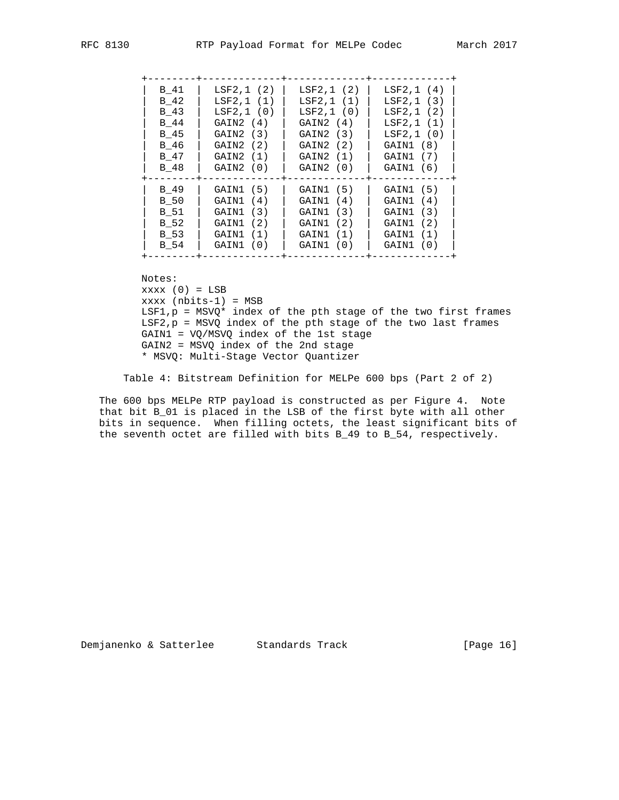| B 41 | LSF2,1(2)   | LSF2, 1 (2) | LSF2, 1 (4) |
|------|-------------|-------------|-------------|
| B 42 | LSF2, 1 (1) | LSF2, 1 (1) | LSF2, 1 (3) |
| B 43 | LSF2, 1 (0) | LSF2, 1 (0) | LSF2, 1 (2) |
| B 44 | GAIN2 (4)   | GAIN2 (4)   | LSF2, 1 (1) |
| B 45 | GAIN2 (3)   | GAIN2 (3)   | LSF2, 1 (0) |
| B 46 | GAIN2 (2)   | GAIN2 (2)   | GAIN1 (8)   |
| B 47 | GAIN2 (1)   | GAIN2 (1)   | GAIN1 (7)   |
| B 48 | GAIN2 (0)   | GAIN2 (0)   | GAIN1 (6)   |
| B 49 | GAIN1 (5)   | GAIN1 (5)   | GAIN1 (5)   |
| B 50 | GAIN1 (4)   | GAIN1 (4)   | GAIN1 (4)   |
| B 51 | GAIN1 (3)   | GAIN1 (3)   | GAIN1 (3)   |
| B 52 | GAIN1 (2)   | GAIN1 (2)   | GAIN1 (2)   |
| B 53 | GAIN1 (1)   | GAIN1 (1)   | GAIN1 (1)   |
| B 54 | GAIN1 (0)   | GAIN1 (0)   | GAIN1 (0)   |

Notes:

 $xxxx(0) = LSB$  xxxx (nbits-1) = MSB  $LSF1, p = MSVQ*$  index of the pth stage of the two first frames LSF2,p = MSVQ index of the pth stage of the two last frames GAIN1 = VQ/MSVQ index of the 1st stage GAIN2 = MSVQ index of the 2nd stage \* MSVQ: Multi-Stage Vector Quantizer

Table 4: Bitstream Definition for MELPe 600 bps (Part 2 of 2)

 The 600 bps MELPe RTP payload is constructed as per Figure 4. Note that bit B\_01 is placed in the LSB of the first byte with all other bits in sequence. When filling octets, the least significant bits of the seventh octet are filled with bits B\_49 to B\_54, respectively.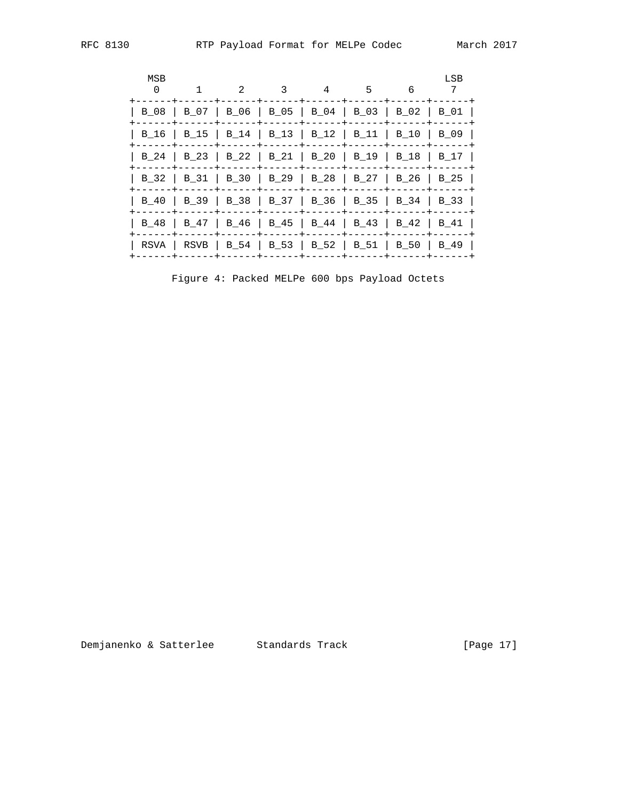| MSB<br>$\Omega$ |                                                       | $\mathfrak{D}$ | 3                                        | 4 | 5 | 6            | LSB  |
|-----------------|-------------------------------------------------------|----------------|------------------------------------------|---|---|--------------|------|
|                 | B 08   B 07   B 06   B 05   B 04   B 03   B 02   B 01 |                |                                          |   |   |              |      |
| B 16            | B 15   B 14   B 13   B 12   B 11                      |                |                                          |   |   | B 10         | B 09 |
|                 | B 24   B 23   B 22   B 21   B 20   B 19               |                |                                          |   |   | $\vert$ B 18 | B 17 |
|                 | B_32   B_31   B_30   B_29   B_28   B_27   B_26   B_25 |                |                                          |   |   |              |      |
| B 40            |                                                       |                | B 39   B 38   B 37   B 36   B 35         |   |   | B 34         | B 33 |
| B 48            | B 47                                                  |                | $\vert$ B_46   B_45   B_44   B_43   B_42 |   |   |              | B 41 |
|                 | RSVA   RSVB   B 54   B 53   B 52   B 51   B 50   B 49 |                |                                          |   |   |              |      |

Figure 4: Packed MELPe 600 bps Payload Octets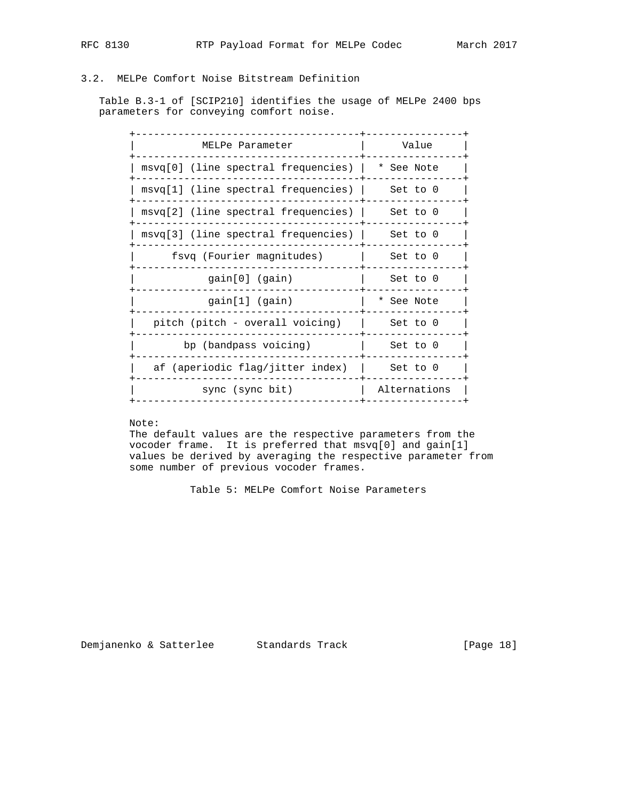## 3.2. MELPe Comfort Noise Bitstream Definition

 Table B.3-1 of [SCIP210] identifies the usage of MELPe 2400 bps parameters for conveying comfort noise.

| MELPe Parameter                       | Value        |  |  |
|---------------------------------------|--------------|--|--|
| msvq[0] (line spectral frequencies)   | * See Note   |  |  |
| $msvq[1]$ (line spectral frequencies) | Set to 0     |  |  |
| $msvq[2]$ (line spectral frequencies) | Set to 0     |  |  |
| msvq[3] (line spectral frequencies)   | Set to 0     |  |  |
| fsvq (Fourier magnitudes)             | Set to 0     |  |  |
| gain[0] (gain)                        | Set to 0     |  |  |
| gain[1] (gain)                        | * See Note   |  |  |
| pitch (pitch - overall voicing)       | Set to 0     |  |  |
| bp (bandpass voicing)                 | Set to 0     |  |  |
| af (aperiodic flag/jitter index)      | Set to 0     |  |  |
| sync (sync bit)                       | Alternations |  |  |
|                                       |              |  |  |

## Note:

 The default values are the respective parameters from the vocoder frame. It is preferred that msvq[0] and gain[1] values be derived by averaging the respective parameter from some number of previous vocoder frames.

Table 5: MELPe Comfort Noise Parameters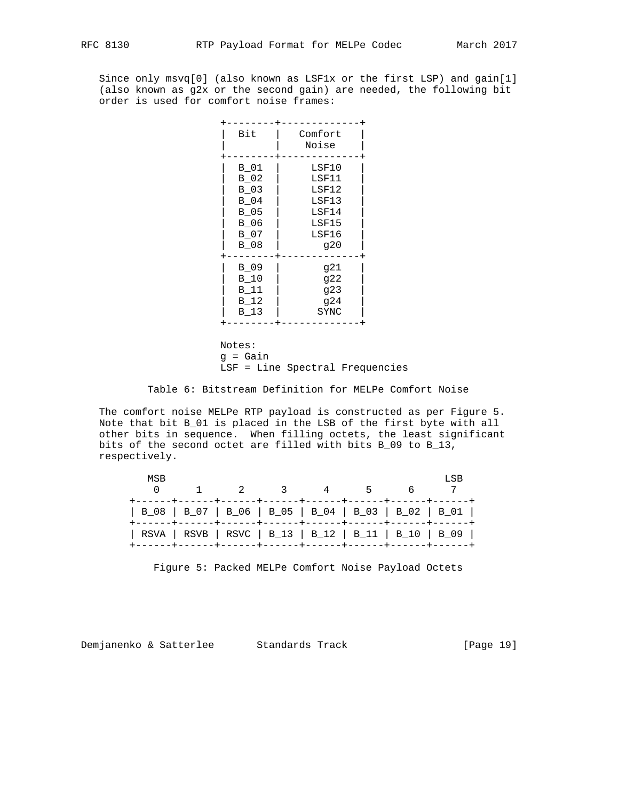Since only msvq[0] (also known as LSF1x or the first LSP) and gain[1] (also known as g2x or the second gain) are needed, the following bit order is used for comfort noise frames:

| Bit                                                                          | Comfort<br>Noise                                                   |
|------------------------------------------------------------------------------|--------------------------------------------------------------------|
| $B_01$<br>$B_02$<br>$B_03$<br>$B_04$<br>$B_05$<br>$B_06$<br>$B_07$<br>$B_08$ | LSF10<br>LSF11<br>LSF12<br>LSF13<br>LSF14<br>LSF15<br>LSF16<br>920 |
| $B_09$<br>$B_10$<br>B 11<br>$B_12$<br>$B_13$                                 | g21<br>922<br>923<br>924<br>SYNC                                   |
|                                                                              |                                                                    |

 Notes: g = Gain LSF = Line Spectral Frequencies

Table 6: Bitstream Definition for MELPe Comfort Noise

 The comfort noise MELPe RTP payload is constructed as per Figure 5. Note that bit B\_01 is placed in the LSB of the first byte with all other bits in sequence. When filling octets, the least significant bits of the second octet are filled with bits B\_09 to B\_13, respectively.

| MSB | $1 \t 2 \t 3 \t 4 \t 5$                               |  |  | LSB |
|-----|-------------------------------------------------------|--|--|-----|
|     | B_08   B_07   B_06   B_05   B_04   B_03   B_02   B_01 |  |  |     |
|     | RSVA   RSVB   RSVC   B_13   B_12   B_11   B_10   B_09 |  |  |     |

Figure 5: Packed MELPe Comfort Noise Payload Octets

Demjanenko & Satterlee Standards Track [Page 19]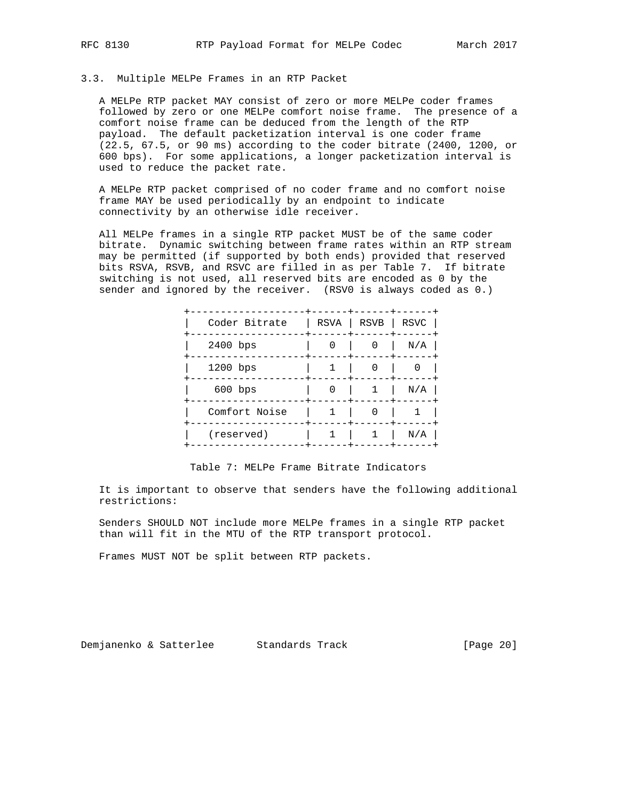## 3.3. Multiple MELPe Frames in an RTP Packet

 A MELPe RTP packet MAY consist of zero or more MELPe coder frames followed by zero or one MELPe comfort noise frame. The presence of a comfort noise frame can be deduced from the length of the RTP payload. The default packetization interval is one coder frame (22.5, 67.5, or 90 ms) according to the coder bitrate (2400, 1200, or 600 bps). For some applications, a longer packetization interval is used to reduce the packet rate.

 A MELPe RTP packet comprised of no coder frame and no comfort noise frame MAY be used periodically by an endpoint to indicate connectivity by an otherwise idle receiver.

 All MELPe frames in a single RTP packet MUST be of the same coder bitrate. Dynamic switching between frame rates within an RTP stream may be permitted (if supported by both ends) provided that reserved bits RSVA, RSVB, and RSVC are filled in as per Table 7. If bitrate switching is not used, all reserved bits are encoded as 0 by the sender and ignored by the receiver. (RSV0 is always coded as 0.)

| Coder Bitrate |   | RSVA   RSVB | RSVC |
|---------------|---|-------------|------|
| 2400 bps      | 0 | 0           | N/A  |
| 1200 bps      |   | 0           |      |
| $600$ bps     | 0 |             | N/A  |
| Comfort Noise |   | 0           |      |
| (reserved)    |   |             | N/A  |
|               |   |             |      |

Table 7: MELPe Frame Bitrate Indicators

 It is important to observe that senders have the following additional restrictions:

 Senders SHOULD NOT include more MELPe frames in a single RTP packet than will fit in the MTU of the RTP transport protocol.

Frames MUST NOT be split between RTP packets.

Demjanenko & Satterlee Standards Track [Page 20]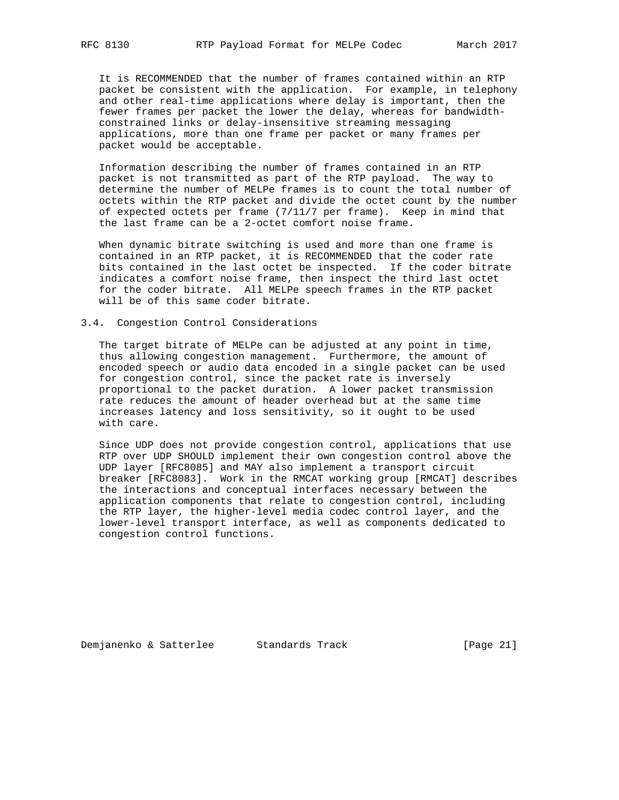It is RECOMMENDED that the number of frames contained within an RTP packet be consistent with the application. For example, in telephony and other real-time applications where delay is important, then the fewer frames per packet the lower the delay, whereas for bandwidth constrained links or delay-insensitive streaming messaging applications, more than one frame per packet or many frames per packet would be acceptable.

 Information describing the number of frames contained in an RTP packet is not transmitted as part of the RTP payload. The way to determine the number of MELPe frames is to count the total number of octets within the RTP packet and divide the octet count by the number of expected octets per frame (7/11/7 per frame). Keep in mind that the last frame can be a 2-octet comfort noise frame.

 When dynamic bitrate switching is used and more than one frame is contained in an RTP packet, it is RECOMMENDED that the coder rate bits contained in the last octet be inspected. If the coder bitrate indicates a comfort noise frame, then inspect the third last octet for the coder bitrate. All MELPe speech frames in the RTP packet will be of this same coder bitrate.

## 3.4. Congestion Control Considerations

 The target bitrate of MELPe can be adjusted at any point in time, thus allowing congestion management. Furthermore, the amount of encoded speech or audio data encoded in a single packet can be used for congestion control, since the packet rate is inversely proportional to the packet duration. A lower packet transmission rate reduces the amount of header overhead but at the same time increases latency and loss sensitivity, so it ought to be used with care.

 Since UDP does not provide congestion control, applications that use RTP over UDP SHOULD implement their own congestion control above the UDP layer [RFC8085] and MAY also implement a transport circuit breaker [RFC8083]. Work in the RMCAT working group [RMCAT] describes the interactions and conceptual interfaces necessary between the application components that relate to congestion control, including the RTP layer, the higher-level media codec control layer, and the lower-level transport interface, as well as components dedicated to congestion control functions.

Demjanenko & Satterlee Standards Track (Page 21)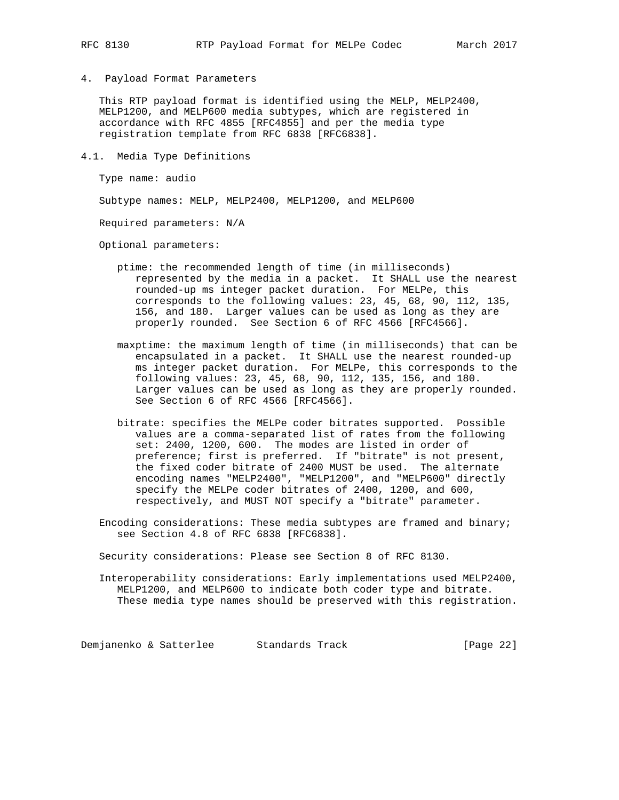4. Payload Format Parameters

 This RTP payload format is identified using the MELP, MELP2400, MELP1200, and MELP600 media subtypes, which are registered in accordance with RFC 4855 [RFC4855] and per the media type registration template from RFC 6838 [RFC6838].

4.1. Media Type Definitions

Type name: audio

Subtype names: MELP, MELP2400, MELP1200, and MELP600

Required parameters: N/A

Optional parameters:

- ptime: the recommended length of time (in milliseconds) represented by the media in a packet. It SHALL use the nearest rounded-up ms integer packet duration. For MELPe, this corresponds to the following values: 23, 45, 68, 90, 112, 135, 156, and 180. Larger values can be used as long as they are properly rounded. See Section 6 of RFC 4566 [RFC4566].
- maxptime: the maximum length of time (in milliseconds) that can be encapsulated in a packet. It SHALL use the nearest rounded-up ms integer packet duration. For MELPe, this corresponds to the following values: 23, 45, 68, 90, 112, 135, 156, and 180. Larger values can be used as long as they are properly rounded. See Section 6 of RFC 4566 [RFC4566].
- bitrate: specifies the MELPe coder bitrates supported. Possible values are a comma-separated list of rates from the following set: 2400, 1200, 600. The modes are listed in order of preference; first is preferred. If "bitrate" is not present, the fixed coder bitrate of 2400 MUST be used. The alternate encoding names "MELP2400", "MELP1200", and "MELP600" directly specify the MELPe coder bitrates of 2400, 1200, and 600, respectively, and MUST NOT specify a "bitrate" parameter.
- Encoding considerations: These media subtypes are framed and binary; see Section 4.8 of RFC 6838 [RFC6838].

Security considerations: Please see Section 8 of RFC 8130.

 Interoperability considerations: Early implementations used MELP2400, MELP1200, and MELP600 to indicate both coder type and bitrate. These media type names should be preserved with this registration.

Demjanenko & Satterlee Standards Track [Page 22]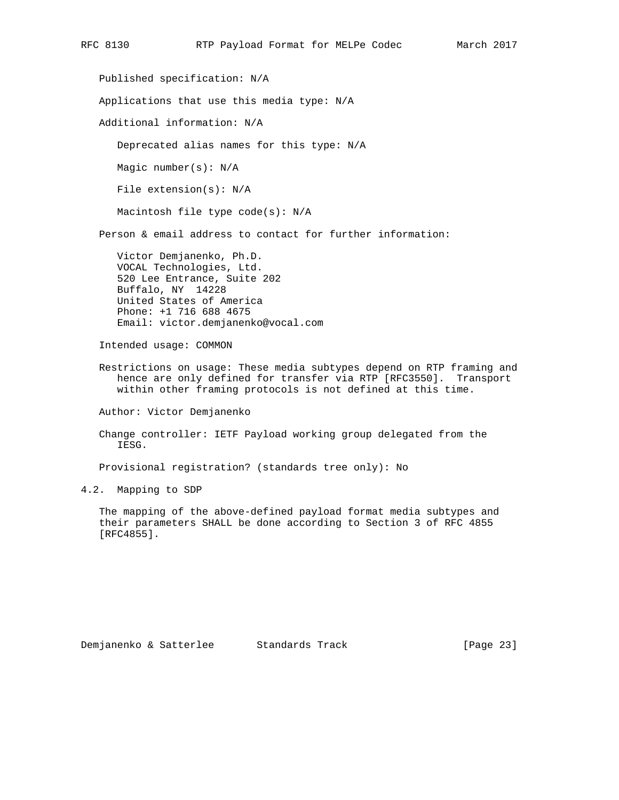Published specification: N/A Applications that use this media type: N/A Additional information: N/A Deprecated alias names for this type: N/A Magic number(s): N/A File extension(s): N/A Macintosh file type code(s): N/A Person & email address to contact for further information: Victor Demjanenko, Ph.D. VOCAL Technologies, Ltd. 520 Lee Entrance, Suite 202 Buffalo, NY 14228 United States of America Phone: +1 716 688 4675 Email: victor.demjanenko@vocal.com Intended usage: COMMON Restrictions on usage: These media subtypes depend on RTP framing and hence are only defined for transfer via RTP [RFC3550]. Transport within other framing protocols is not defined at this time. Author: Victor Demjanenko Change controller: IETF Payload working group delegated from the IESG. Provisional registration? (standards tree only): No

4.2. Mapping to SDP

 The mapping of the above-defined payload format media subtypes and their parameters SHALL be done according to Section 3 of RFC 4855 [RFC4855].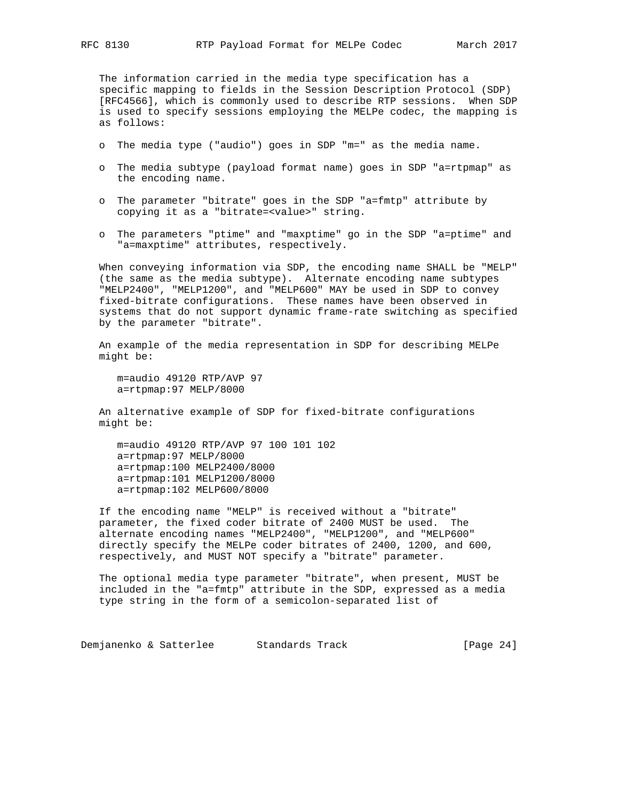The information carried in the media type specification has a specific mapping to fields in the Session Description Protocol (SDP) [RFC4566], which is commonly used to describe RTP sessions. When SDP is used to specify sessions employing the MELPe codec, the mapping is as follows:

- o The media type ("audio") goes in SDP "m=" as the media name.
- o The media subtype (payload format name) goes in SDP "a=rtpmap" as the encoding name.
- o The parameter "bitrate" goes in the SDP "a=fmtp" attribute by copying it as a "bitrate=<value>" string.
- o The parameters "ptime" and "maxptime" go in the SDP "a=ptime" and "a=maxptime" attributes, respectively.

 When conveying information via SDP, the encoding name SHALL be "MELP" (the same as the media subtype). Alternate encoding name subtypes "MELP2400", "MELP1200", and "MELP600" MAY be used in SDP to convey fixed-bitrate configurations. These names have been observed in systems that do not support dynamic frame-rate switching as specified by the parameter "bitrate".

 An example of the media representation in SDP for describing MELPe might be:

 m=audio 49120 RTP/AVP 97 a=rtpmap:97 MELP/8000

 An alternative example of SDP for fixed-bitrate configurations might be:

 m=audio 49120 RTP/AVP 97 100 101 102 a=rtpmap:97 MELP/8000 a=rtpmap:100 MELP2400/8000 a=rtpmap:101 MELP1200/8000 a=rtpmap:102 MELP600/8000

 If the encoding name "MELP" is received without a "bitrate" parameter, the fixed coder bitrate of 2400 MUST be used. The alternate encoding names "MELP2400", "MELP1200", and "MELP600" directly specify the MELPe coder bitrates of 2400, 1200, and 600, respectively, and MUST NOT specify a "bitrate" parameter.

 The optional media type parameter "bitrate", when present, MUST be included in the "a=fmtp" attribute in the SDP, expressed as a media type string in the form of a semicolon-separated list of

Demjanenko & Satterlee Standards Track [Page 24]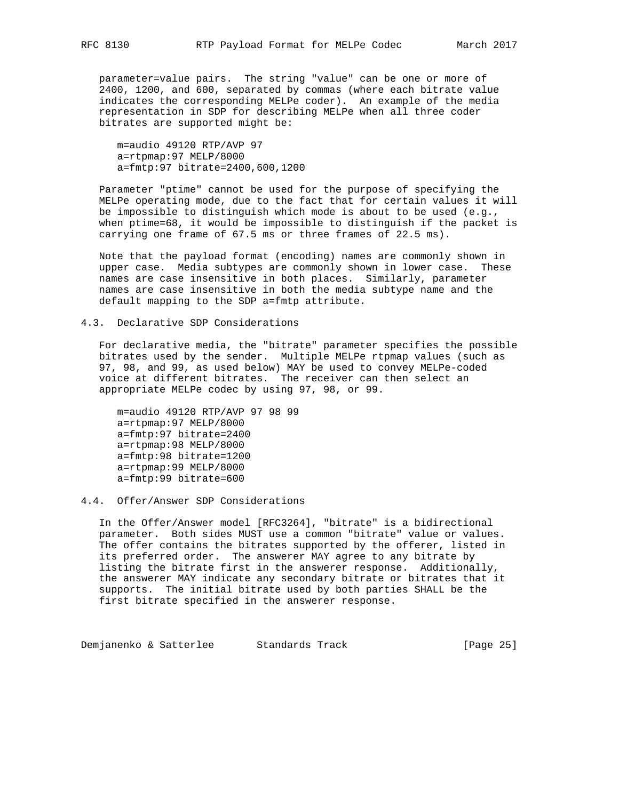parameter=value pairs. The string "value" can be one or more of 2400, 1200, and 600, separated by commas (where each bitrate value indicates the corresponding MELPe coder). An example of the media representation in SDP for describing MELPe when all three coder bitrates are supported might be:

 m=audio 49120 RTP/AVP 97 a=rtpmap:97 MELP/8000 a=fmtp:97 bitrate=2400,600,1200

 Parameter "ptime" cannot be used for the purpose of specifying the MELPe operating mode, due to the fact that for certain values it will be impossible to distinguish which mode is about to be used (e.g., when ptime=68, it would be impossible to distinguish if the packet is carrying one frame of 67.5 ms or three frames of 22.5 ms).

 Note that the payload format (encoding) names are commonly shown in upper case. Media subtypes are commonly shown in lower case. These names are case insensitive in both places. Similarly, parameter names are case insensitive in both the media subtype name and the default mapping to the SDP a=fmtp attribute.

### 4.3. Declarative SDP Considerations

 For declarative media, the "bitrate" parameter specifies the possible bitrates used by the sender. Multiple MELPe rtpmap values (such as 97, 98, and 99, as used below) MAY be used to convey MELPe-coded voice at different bitrates. The receiver can then select an appropriate MELPe codec by using 97, 98, or 99.

 m=audio 49120 RTP/AVP 97 98 99 a=rtpmap:97 MELP/8000 a=fmtp:97 bitrate=2400 a=rtpmap:98 MELP/8000 a=fmtp:98 bitrate=1200 a=rtpmap:99 MELP/8000 a=fmtp:99 bitrate=600

## 4.4. Offer/Answer SDP Considerations

 In the Offer/Answer model [RFC3264], "bitrate" is a bidirectional parameter. Both sides MUST use a common "bitrate" value or values. The offer contains the bitrates supported by the offerer, listed in its preferred order. The answerer MAY agree to any bitrate by listing the bitrate first in the answerer response. Additionally, the answerer MAY indicate any secondary bitrate or bitrates that it supports. The initial bitrate used by both parties SHALL be the first bitrate specified in the answerer response.

Demjanenko & Satterlee Standards Track (Page 25)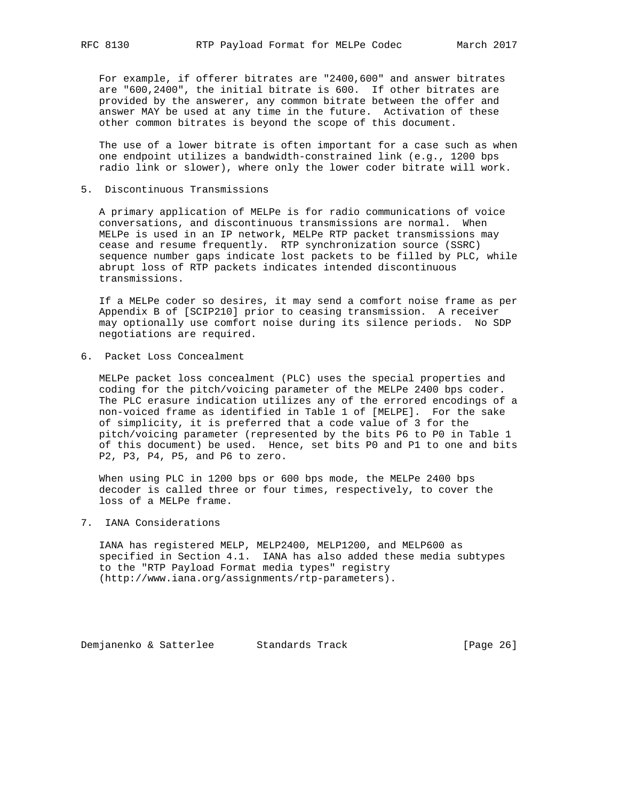For example, if offerer bitrates are "2400,600" and answer bitrates are "600,2400", the initial bitrate is 600. If other bitrates are provided by the answerer, any common bitrate between the offer and answer MAY be used at any time in the future. Activation of these other common bitrates is beyond the scope of this document.

 The use of a lower bitrate is often important for a case such as when one endpoint utilizes a bandwidth-constrained link (e.g., 1200 bps radio link or slower), where only the lower coder bitrate will work.

5. Discontinuous Transmissions

 A primary application of MELPe is for radio communications of voice conversations, and discontinuous transmissions are normal. When MELPe is used in an IP network, MELPe RTP packet transmissions may cease and resume frequently. RTP synchronization source (SSRC) sequence number gaps indicate lost packets to be filled by PLC, while abrupt loss of RTP packets indicates intended discontinuous transmissions.

 If a MELPe coder so desires, it may send a comfort noise frame as per Appendix B of [SCIP210] prior to ceasing transmission. A receiver may optionally use comfort noise during its silence periods. No SDP negotiations are required.

6. Packet Loss Concealment

 MELPe packet loss concealment (PLC) uses the special properties and coding for the pitch/voicing parameter of the MELPe 2400 bps coder. The PLC erasure indication utilizes any of the errored encodings of a non-voiced frame as identified in Table 1 of [MELPE]. For the sake of simplicity, it is preferred that a code value of 3 for the pitch/voicing parameter (represented by the bits P6 to P0 in Table 1 of this document) be used. Hence, set bits P0 and P1 to one and bits P2, P3, P4, P5, and P6 to zero.

 When using PLC in 1200 bps or 600 bps mode, the MELPe 2400 bps decoder is called three or four times, respectively, to cover the loss of a MELPe frame.

7. IANA Considerations

 IANA has registered MELP, MELP2400, MELP1200, and MELP600 as specified in Section 4.1. IANA has also added these media subtypes to the "RTP Payload Format media types" registry (http://www.iana.org/assignments/rtp-parameters).

Demjanenko & Satterlee Standards Track (Page 26)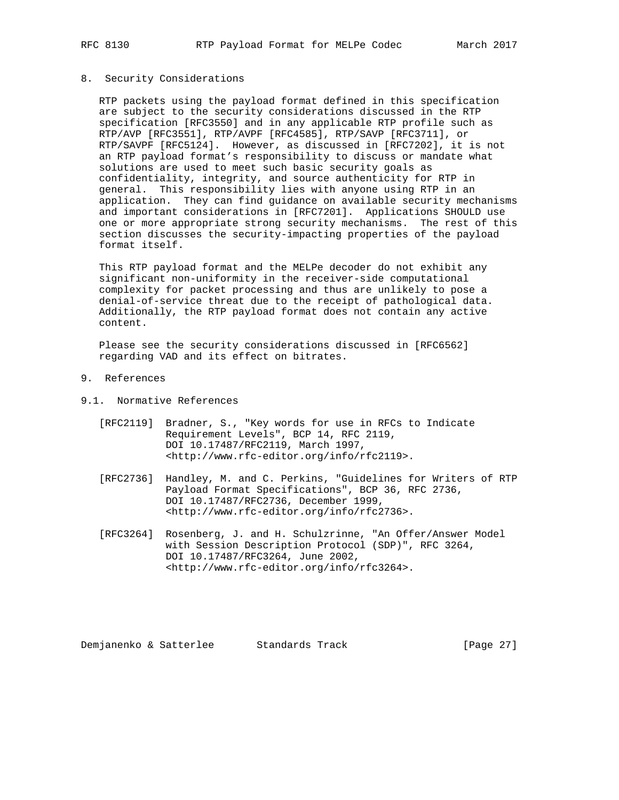# 8. Security Considerations

 RTP packets using the payload format defined in this specification are subject to the security considerations discussed in the RTP specification [RFC3550] and in any applicable RTP profile such as RTP/AVP [RFC3551], RTP/AVPF [RFC4585], RTP/SAVP [RFC3711], or RTP/SAVPF [RFC5124]. However, as discussed in [RFC7202], it is not an RTP payload format's responsibility to discuss or mandate what solutions are used to meet such basic security goals as confidentiality, integrity, and source authenticity for RTP in general. This responsibility lies with anyone using RTP in an application. They can find guidance on available security mechanisms and important considerations in [RFC7201]. Applications SHOULD use one or more appropriate strong security mechanisms. The rest of this section discusses the security-impacting properties of the payload format itself.

 This RTP payload format and the MELPe decoder do not exhibit any significant non-uniformity in the receiver-side computational complexity for packet processing and thus are unlikely to pose a denial-of-service threat due to the receipt of pathological data. Additionally, the RTP payload format does not contain any active content.

 Please see the security considerations discussed in [RFC6562] regarding VAD and its effect on bitrates.

- 9. References
- 9.1. Normative References
	- [RFC2119] Bradner, S., "Key words for use in RFCs to Indicate Requirement Levels", BCP 14, RFC 2119, DOI 10.17487/RFC2119, March 1997, <http://www.rfc-editor.org/info/rfc2119>.
	- [RFC2736] Handley, M. and C. Perkins, "Guidelines for Writers of RTP Payload Format Specifications", BCP 36, RFC 2736, DOI 10.17487/RFC2736, December 1999, <http://www.rfc-editor.org/info/rfc2736>.
	- [RFC3264] Rosenberg, J. and H. Schulzrinne, "An Offer/Answer Model with Session Description Protocol (SDP)", RFC 3264, DOI 10.17487/RFC3264, June 2002, <http://www.rfc-editor.org/info/rfc3264>.

Demjanenko & Satterlee Standards Track (Page 27)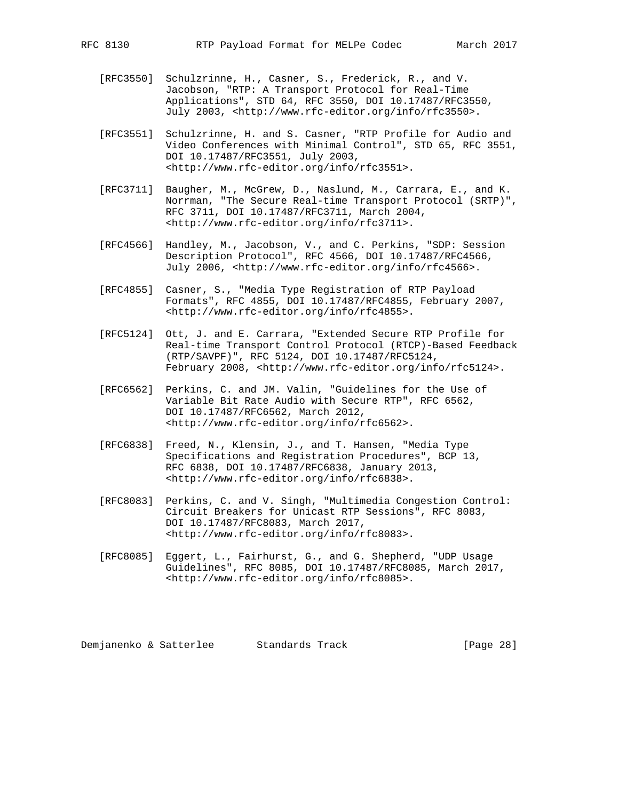- [RFC3550] Schulzrinne, H., Casner, S., Frederick, R., and V. Jacobson, "RTP: A Transport Protocol for Real-Time Applications", STD 64, RFC 3550, DOI 10.17487/RFC3550, July 2003, <http://www.rfc-editor.org/info/rfc3550>.
- [RFC3551] Schulzrinne, H. and S. Casner, "RTP Profile for Audio and Video Conferences with Minimal Control", STD 65, RFC 3551, DOI 10.17487/RFC3551, July 2003, <http://www.rfc-editor.org/info/rfc3551>.
- [RFC3711] Baugher, M., McGrew, D., Naslund, M., Carrara, E., and K. Norrman, "The Secure Real-time Transport Protocol (SRTP)", RFC 3711, DOI 10.17487/RFC3711, March 2004, <http://www.rfc-editor.org/info/rfc3711>.
- [RFC4566] Handley, M., Jacobson, V., and C. Perkins, "SDP: Session Description Protocol", RFC 4566, DOI 10.17487/RFC4566, July 2006, <http://www.rfc-editor.org/info/rfc4566>.
- [RFC4855] Casner, S., "Media Type Registration of RTP Payload Formats", RFC 4855, DOI 10.17487/RFC4855, February 2007, <http://www.rfc-editor.org/info/rfc4855>.
- [RFC5124] Ott, J. and E. Carrara, "Extended Secure RTP Profile for Real-time Transport Control Protocol (RTCP)-Based Feedback (RTP/SAVPF)", RFC 5124, DOI 10.17487/RFC5124, February 2008, <http://www.rfc-editor.org/info/rfc5124>.
- [RFC6562] Perkins, C. and JM. Valin, "Guidelines for the Use of Variable Bit Rate Audio with Secure RTP", RFC 6562, DOI 10.17487/RFC6562, March 2012, <http://www.rfc-editor.org/info/rfc6562>.
- [RFC6838] Freed, N., Klensin, J., and T. Hansen, "Media Type Specifications and Registration Procedures", BCP 13, RFC 6838, DOI 10.17487/RFC6838, January 2013, <http://www.rfc-editor.org/info/rfc6838>.
- [RFC8083] Perkins, C. and V. Singh, "Multimedia Congestion Control: Circuit Breakers for Unicast RTP Sessions", RFC 8083, DOI 10.17487/RFC8083, March 2017, <http://www.rfc-editor.org/info/rfc8083>.
- [RFC8085] Eggert, L., Fairhurst, G., and G. Shepherd, "UDP Usage Guidelines", RFC 8085, DOI 10.17487/RFC8085, March 2017, <http://www.rfc-editor.org/info/rfc8085>.

Demjanenko & Satterlee Standards Track (Page 28)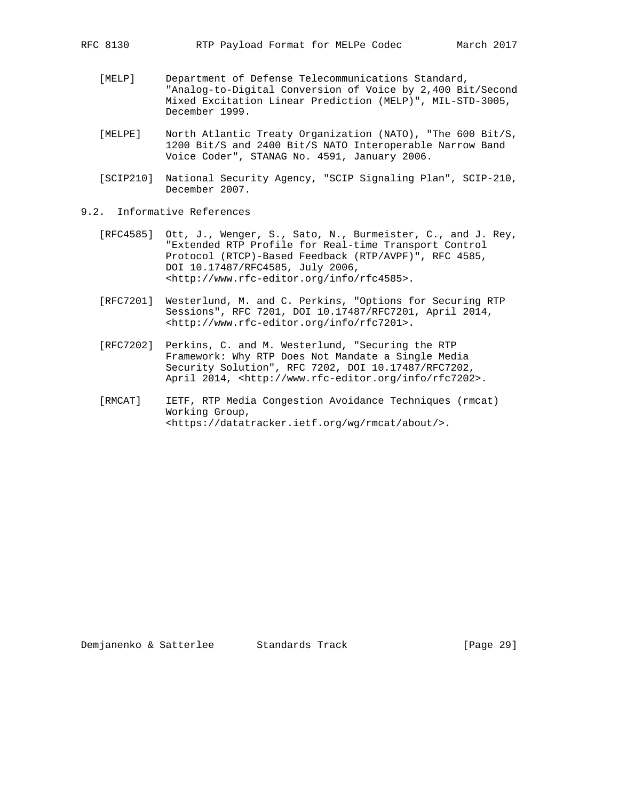- [MELP] Department of Defense Telecommunications Standard, "Analog-to-Digital Conversion of Voice by 2,400 Bit/Second Mixed Excitation Linear Prediction (MELP)", MIL-STD-3005, December 1999.
- [MELPE] North Atlantic Treaty Organization (NATO), "The 600 Bit/S, 1200 Bit/S and 2400 Bit/S NATO Interoperable Narrow Band Voice Coder", STANAG No. 4591, January 2006.
- [SCIP210] National Security Agency, "SCIP Signaling Plan", SCIP-210, December 2007.
- 9.2. Informative References
	- [RFC4585] Ott, J., Wenger, S., Sato, N., Burmeister, C., and J. Rey, "Extended RTP Profile for Real-time Transport Control Protocol (RTCP)-Based Feedback (RTP/AVPF)", RFC 4585, DOI 10.17487/RFC4585, July 2006, <http://www.rfc-editor.org/info/rfc4585>.
	- [RFC7201] Westerlund, M. and C. Perkins, "Options for Securing RTP Sessions", RFC 7201, DOI 10.17487/RFC7201, April 2014, <http://www.rfc-editor.org/info/rfc7201>.
	- [RFC7202] Perkins, C. and M. Westerlund, "Securing the RTP Framework: Why RTP Does Not Mandate a Single Media Security Solution", RFC 7202, DOI 10.17487/RFC7202, April 2014, <http://www.rfc-editor.org/info/rfc7202>.
	- [RMCAT] IETF, RTP Media Congestion Avoidance Techniques (rmcat) Working Group, <https://datatracker.ietf.org/wg/rmcat/about/>.